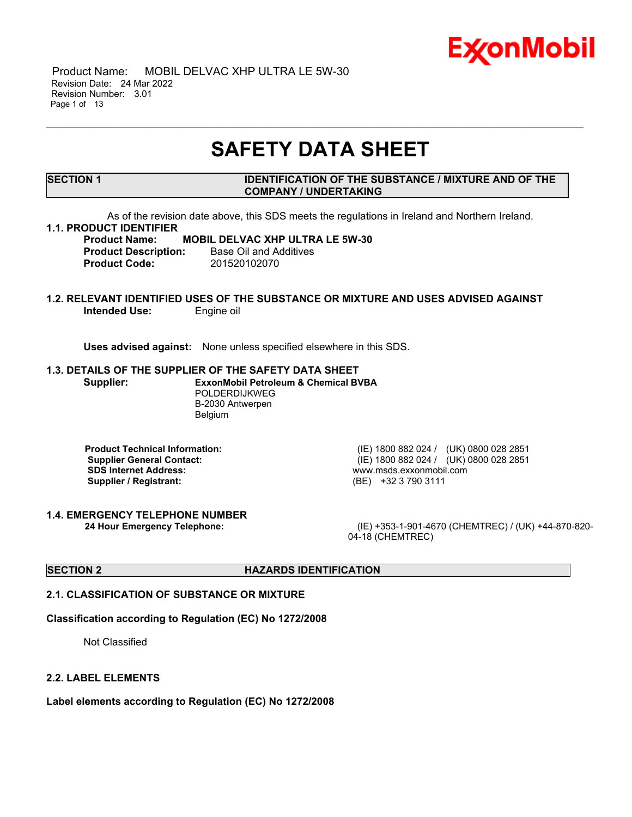

 Product Name: MOBIL DELVAC XHP ULTRA LE 5W-30 Revision Date: 24 Mar 2022 Revision Number: 3.01 Page 1 of 13

## **SAFETY DATA SHEET**

\_\_\_\_\_\_\_\_\_\_\_\_\_\_\_\_\_\_\_\_\_\_\_\_\_\_\_\_\_\_\_\_\_\_\_\_\_\_\_\_\_\_\_\_\_\_\_\_\_\_\_\_\_\_\_\_\_\_\_\_\_\_\_\_\_\_\_\_\_\_\_\_\_\_\_\_\_\_\_\_\_\_\_\_\_\_\_\_\_\_\_\_\_\_\_\_\_\_\_\_\_\_\_\_\_\_\_\_\_\_\_\_\_\_\_\_\_

#### **SECTION 1 IDENTIFICATION OF THE SUBSTANCE / MIXTURE AND OF THE COMPANY / UNDERTAKING**

As of the revision date above, this SDS meets the regulations in Ireland and Northern Ireland.

#### **1.1. PRODUCT IDENTIFIER**

**Product Name: MOBIL DELVAC XHP ULTRA LE 5W-30 Product Description:** Base Oil and Additives **Product Code:** 201520102070

### **1.2. RELEVANT IDENTIFIED USES OF THE SUBSTANCE OR MIXTURE AND USES ADVISED AGAINST Intended Use:** Engine oil

**Uses advised against:** None unless specified elsewhere in this SDS.

#### **1.3. DETAILS OF THE SUPPLIER OF THE SAFETY DATA SHEET**

**Supplier: ExxonMobil Petroleum & Chemical BVBA** POLDERDIJKWEG B-2030 Antwerpen Belgium

**SDS Internet Address:** www.msds.exxonmobil.com **Supplier / Registrant:** (BE) +32 3 790 3111

**1.4. EMERGENCY TELEPHONE NUMBER**

**Product Technical Information:** (IE) 1800 882 024 / (UK) 0800 028 2851 **Supplier General Contact:** (IE) 1800 882 024 / (UK) 0800 028 2851

**24 Hour Emergency Telephone:** (IE) +353-1-901-4670 (CHEMTREC) / (UK) +44-870-820- 04-18 (CHEMTREC)

## **SECTION 2 HAZARDS IDENTIFICATION**

## **2.1. CLASSIFICATION OF SUBSTANCE OR MIXTURE**

#### **Classification according to Regulation (EC) No 1272/2008**

Not Classified

#### **2.2. LABEL ELEMENTS**

**Label elements according to Regulation (EC) No 1272/2008**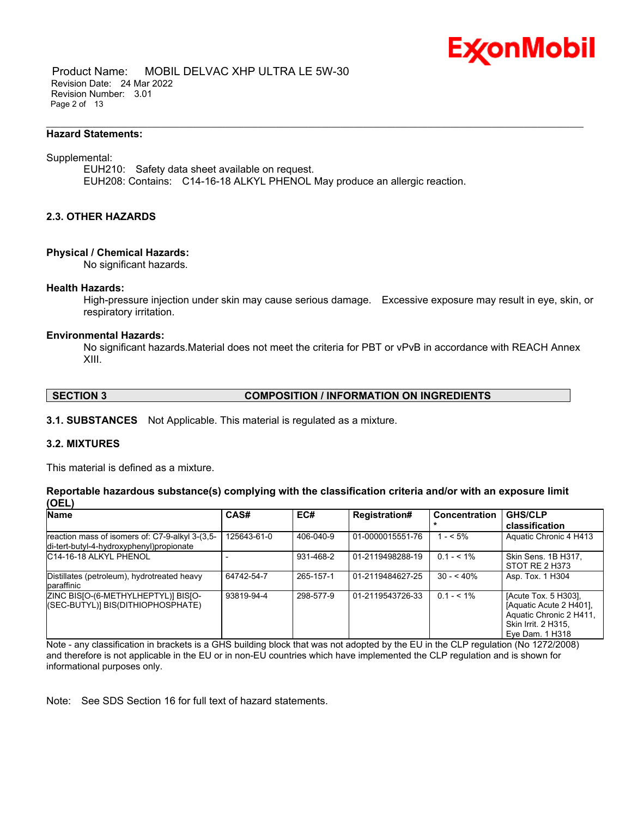

 Product Name: MOBIL DELVAC XHP ULTRA LE 5W-30 Revision Date: 24 Mar 2022 Revision Number: 3.01 Page 2 of 13

#### **Hazard Statements:**

#### Supplemental:

EUH210: Safety data sheet available on request. EUH208: Contains: C14-16-18 ALKYL PHENOL May produce an allergic reaction.

\_\_\_\_\_\_\_\_\_\_\_\_\_\_\_\_\_\_\_\_\_\_\_\_\_\_\_\_\_\_\_\_\_\_\_\_\_\_\_\_\_\_\_\_\_\_\_\_\_\_\_\_\_\_\_\_\_\_\_\_\_\_\_\_\_\_\_\_\_\_\_\_\_\_\_\_\_\_\_\_\_\_\_\_\_\_\_\_\_\_\_\_\_\_\_\_\_\_\_\_\_\_\_\_\_\_\_\_\_\_\_\_\_\_\_\_\_

#### **2.3. OTHER HAZARDS**

#### **Physical / Chemical Hazards:**

No significant hazards.

#### **Health Hazards:**

High-pressure injection under skin may cause serious damage. Excessive exposure may result in eye, skin, or respiratory irritation.

#### **Environmental Hazards:**

No significant hazards.Material does not meet the criteria for PBT or vPvB in accordance with REACH Annex XIII.

#### **SECTION 3 COMPOSITION / INFORMATION ON INGREDIENTS**

**3.1. SUBSTANCES** Not Applicable. This material is regulated as a mixture.

#### **3.2. MIXTURES**

This material is defined as a mixture.

#### **Reportable hazardous substance(s) complying with the classification criteria and/or with an exposure limit (OEL)**

| Name                                                                                        | CAS#        | EC#       | <b>Registration#</b> | <b>Concentration</b> | <b>GHS/CLP</b><br>classification                                                                                     |
|---------------------------------------------------------------------------------------------|-------------|-----------|----------------------|----------------------|----------------------------------------------------------------------------------------------------------------------|
| reaction mass of isomers of: C7-9-alkyl 3-(3,5-<br>di-tert-butyl-4-hydroxyphenyl)propionate | 125643-61-0 | 406-040-9 | 01-0000015551-76     | $1 - 5\%$            | Aquatic Chronic 4 H413                                                                                               |
| IC14-16-18 ALKYL PHENOL                                                                     |             | 931-468-2 | 01-2119498288-19     | $0.1 - 5.1\%$        | Skin Sens. 1B H317,<br>STOT RE 2 H373                                                                                |
| Distillates (petroleum), hydrotreated heavy<br>paraffinic                                   | 64742-54-7  | 265-157-1 | 01-2119484627-25     | $30 - 540%$          | Asp. Tox. 1 H304                                                                                                     |
| ZINC BISJO-(6-METHYLHEPTYL)] BISJO-<br>((SEC-BUTYL)] BIS(DITHIOPHOSPHATE)                   | 93819-94-4  | 298-577-9 | 01-2119543726-33     | $0.1 - 5.1\%$        | [Acute Tox. 5 H303],<br>[Aquatic Acute 2 H401].<br>Aquatic Chronic 2 H411.<br>Skin Irrit. 2 H315.<br>Eve Dam. 1 H318 |

Note - any classification in brackets is a GHS building block that was not adopted by the EU in the CLP regulation (No 1272/2008) and therefore is not applicable in the EU or in non-EU countries which have implemented the CLP regulation and is shown for informational purposes only.

Note: See SDS Section 16 for full text of hazard statements.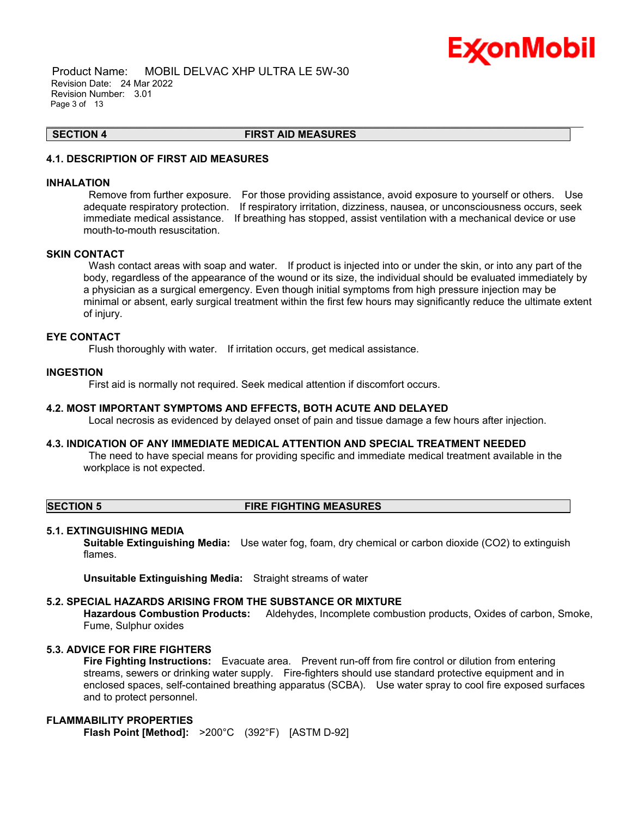## Ex⁄onMobil

 Product Name: MOBIL DELVAC XHP ULTRA LE 5W-30 Revision Date: 24 Mar 2022 Revision Number: 3.01 Page 3 of 13

#### **SECTION 4 FIRST AID MEASURES**

\_\_\_\_\_\_\_\_\_\_\_\_\_\_\_\_\_\_\_\_\_\_\_\_\_\_\_\_\_\_\_\_\_\_\_\_\_\_\_\_\_\_\_\_\_\_\_\_\_\_\_\_\_\_\_\_\_\_\_\_\_\_\_\_\_\_\_\_\_\_\_\_\_\_\_\_\_\_\_\_\_\_\_\_\_\_\_\_\_\_\_\_\_\_\_\_\_\_\_\_\_\_\_\_\_\_\_\_\_\_\_\_\_\_\_\_\_

## **4.1. DESCRIPTION OF FIRST AID MEASURES**

#### **INHALATION**

Remove from further exposure. For those providing assistance, avoid exposure to yourself or others. Use adequate respiratory protection. If respiratory irritation, dizziness, nausea, or unconsciousness occurs, seek immediate medical assistance. If breathing has stopped, assist ventilation with a mechanical device or use mouth-to-mouth resuscitation.

#### **SKIN CONTACT**

Wash contact areas with soap and water. If product is injected into or under the skin, or into any part of the body, regardless of the appearance of the wound or its size, the individual should be evaluated immediately by a physician as a surgical emergency. Even though initial symptoms from high pressure injection may be minimal or absent, early surgical treatment within the first few hours may significantly reduce the ultimate extent of injury.

#### **EYE CONTACT**

Flush thoroughly with water. If irritation occurs, get medical assistance.

#### **INGESTION**

First aid is normally not required. Seek medical attention if discomfort occurs.

#### **4.2. MOST IMPORTANT SYMPTOMS AND EFFECTS, BOTH ACUTE AND DELAYED**

Local necrosis as evidenced by delayed onset of pain and tissue damage a few hours after injection.

#### **4.3. INDICATION OF ANY IMMEDIATE MEDICAL ATTENTION AND SPECIAL TREATMENT NEEDED**

The need to have special means for providing specific and immediate medical treatment available in the workplace is not expected.

#### **SECTION 5 FIRE FIGHTING MEASURES**

#### **5.1. EXTINGUISHING MEDIA**

**Suitable Extinguishing Media:** Use water fog, foam, dry chemical or carbon dioxide (CO2) to extinguish flames.

**Unsuitable Extinguishing Media:** Straight streams of water

#### **5.2. SPECIAL HAZARDS ARISING FROM THE SUBSTANCE OR MIXTURE**

**Hazardous Combustion Products:** Aldehydes, Incomplete combustion products, Oxides of carbon, Smoke, Fume, Sulphur oxides

#### **5.3. ADVICE FOR FIRE FIGHTERS**

**Fire Fighting Instructions:** Evacuate area. Prevent run-off from fire control or dilution from entering streams, sewers or drinking water supply. Fire-fighters should use standard protective equipment and in enclosed spaces, self-contained breathing apparatus (SCBA). Use water spray to cool fire exposed surfaces and to protect personnel.

### **FLAMMABILITY PROPERTIES**

**Flash Point [Method]:** >200°C (392°F) [ASTM D-92]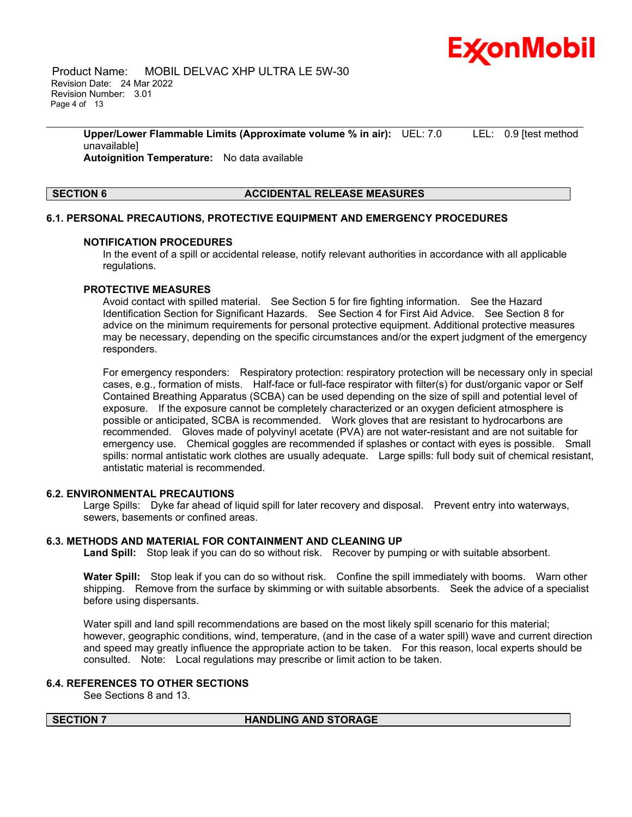

 Product Name: MOBIL DELVAC XHP ULTRA LE 5W-30 Revision Date: 24 Mar 2022 Revision Number: 3.01 Page 4 of 13

> **Upper/Lower Flammable Limits (Approximate volume % in air):** UEL: 7.0 LEL: 0.9 [test method unavailable] **Autoignition Temperature:** No data available

\_\_\_\_\_\_\_\_\_\_\_\_\_\_\_\_\_\_\_\_\_\_\_\_\_\_\_\_\_\_\_\_\_\_\_\_\_\_\_\_\_\_\_\_\_\_\_\_\_\_\_\_\_\_\_\_\_\_\_\_\_\_\_\_\_\_\_\_\_\_\_\_\_\_\_\_\_\_\_\_\_\_\_\_\_\_\_\_\_\_\_\_\_\_\_\_\_\_\_\_\_\_\_\_\_\_\_\_\_\_\_\_\_\_\_\_\_

#### **SECTION 6 ACCIDENTAL RELEASE MEASURES**

#### **6.1. PERSONAL PRECAUTIONS, PROTECTIVE EQUIPMENT AND EMERGENCY PROCEDURES**

#### **NOTIFICATION PROCEDURES**

In the event of a spill or accidental release, notify relevant authorities in accordance with all applicable regulations.

#### **PROTECTIVE MEASURES**

Avoid contact with spilled material. See Section 5 for fire fighting information. See the Hazard Identification Section for Significant Hazards. See Section 4 for First Aid Advice. See Section 8 for advice on the minimum requirements for personal protective equipment. Additional protective measures may be necessary, depending on the specific circumstances and/or the expert judgment of the emergency responders.

For emergency responders: Respiratory protection: respiratory protection will be necessary only in special cases, e.g., formation of mists. Half-face or full-face respirator with filter(s) for dust/organic vapor or Self Contained Breathing Apparatus (SCBA) can be used depending on the size of spill and potential level of exposure. If the exposure cannot be completely characterized or an oxygen deficient atmosphere is possible or anticipated, SCBA is recommended. Work gloves that are resistant to hydrocarbons are recommended. Gloves made of polyvinyl acetate (PVA) are not water-resistant and are not suitable for emergency use. Chemical goggles are recommended if splashes or contact with eyes is possible. Small spills: normal antistatic work clothes are usually adequate. Large spills: full body suit of chemical resistant, antistatic material is recommended.

#### **6.2. ENVIRONMENTAL PRECAUTIONS**

Large Spills: Dyke far ahead of liquid spill for later recovery and disposal. Prevent entry into waterways, sewers, basements or confined areas.

#### **6.3. METHODS AND MATERIAL FOR CONTAINMENT AND CLEANING UP**

**Land Spill:** Stop leak if you can do so without risk. Recover by pumping or with suitable absorbent.

**Water Spill:** Stop leak if you can do so without risk. Confine the spill immediately with booms. Warn other shipping. Remove from the surface by skimming or with suitable absorbents. Seek the advice of a specialist before using dispersants.

Water spill and land spill recommendations are based on the most likely spill scenario for this material; however, geographic conditions, wind, temperature, (and in the case of a water spill) wave and current direction and speed may greatly influence the appropriate action to be taken. For this reason, local experts should be consulted. Note: Local regulations may prescribe or limit action to be taken.

#### **6.4. REFERENCES TO OTHER SECTIONS**

See Sections 8 and 13.

#### **SECTION 7 HANDLING AND STORAGE**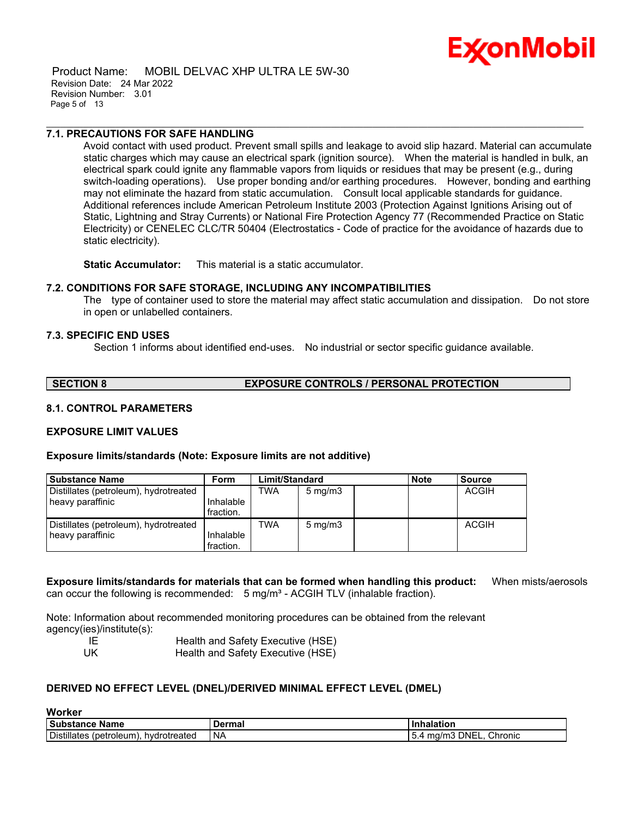# Ex⁄onMobil

 Product Name: MOBIL DELVAC XHP ULTRA LE 5W-30 Revision Date: 24 Mar 2022 Revision Number: 3.01 Page 5 of 13

## **7.1. PRECAUTIONS FOR SAFE HANDLING**

Avoid contact with used product. Prevent small spills and leakage to avoid slip hazard. Material can accumulate static charges which may cause an electrical spark (ignition source). When the material is handled in bulk, an electrical spark could ignite any flammable vapors from liquids or residues that may be present (e.g., during switch-loading operations). Use proper bonding and/or earthing procedures. However, bonding and earthing may not eliminate the hazard from static accumulation. Consult local applicable standards for guidance. Additional references include American Petroleum Institute 2003 (Protection Against Ignitions Arising out of Static, Lightning and Stray Currents) or National Fire Protection Agency 77 (Recommended Practice on Static Electricity) or CENELEC CLC/TR 50404 (Electrostatics - Code of practice for the avoidance of hazards due to static electricity).

\_\_\_\_\_\_\_\_\_\_\_\_\_\_\_\_\_\_\_\_\_\_\_\_\_\_\_\_\_\_\_\_\_\_\_\_\_\_\_\_\_\_\_\_\_\_\_\_\_\_\_\_\_\_\_\_\_\_\_\_\_\_\_\_\_\_\_\_\_\_\_\_\_\_\_\_\_\_\_\_\_\_\_\_\_\_\_\_\_\_\_\_\_\_\_\_\_\_\_\_\_\_\_\_\_\_\_\_\_\_\_\_\_\_\_\_\_

**Static Accumulator:** This material is a static accumulator.

#### **7.2. CONDITIONS FOR SAFE STORAGE, INCLUDING ANY INCOMPATIBILITIES**

The type of container used to store the material may affect static accumulation and dissipation. Do not store in open or unlabelled containers.

#### **7.3. SPECIFIC END USES**

Section 1 informs about identified end-uses. No industrial or sector specific guidance available.

**SECTION 8 EXPOSURE CONTROLS / PERSONAL PROTECTION**

#### **8.1. CONTROL PARAMETERS**

## **EXPOSURE LIMIT VALUES**

#### **Exposure limits/standards (Note: Exposure limits are not additive)**

| <b>Substance Name</b>                 | <b>Form</b> | Limit/Standard |                  | <b>Note</b> | <b>Source</b> |
|---------------------------------------|-------------|----------------|------------------|-------------|---------------|
| Distillates (petroleum), hydrotreated |             | TWA            | $5 \text{ mg/m}$ |             | ACGIH         |
| heavy paraffinic                      | Inhalable   |                |                  |             |               |
|                                       | fraction.   |                |                  |             |               |
| Distillates (petroleum), hydrotreated |             | TWA            | $5 \text{ mg/m}$ |             | <b>ACGIH</b>  |
| heavy paraffinic                      | Inhalable   |                |                  |             |               |
|                                       | fraction.   |                |                  |             |               |

#### **Exposure limits/standards for materials that can be formed when handling this product:** When mists/aerosols can occur the following is recommended:  $5 \text{ mg/m}^3$  - ACGIH TLV (inhalable fraction).

Note: Information about recommended monitoring procedures can be obtained from the relevant agency(ies)/institute(s):

| - IE | Health and Safety Executive (HSE) |
|------|-----------------------------------|
| UK   | Health and Safety Executive (HSE) |

#### **DERIVED NO EFFECT LEVEL (DNEL)/DERIVED MINIMAL EFFECT LEVEL (DMEL)**

#### **Worker**

| Substance<br>Name                                          | - ---- -<br>шс | latiar                                       |
|------------------------------------------------------------|----------------|----------------------------------------------|
| <b>Distillates</b><br>roleum<br>unetr'<br>otreated<br>nvar | NA             | Chronic<br>DNEL.<br>$\overline{\phantom{a}}$ |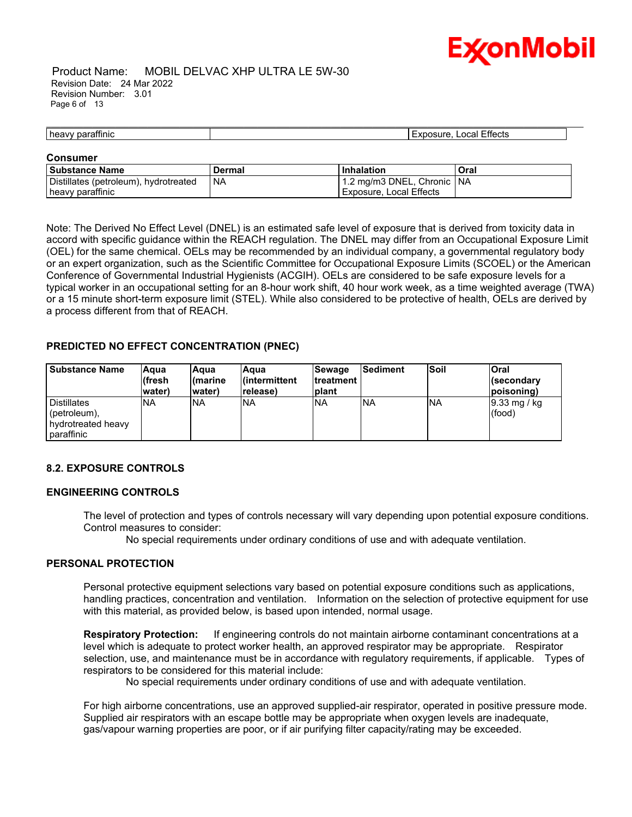

#### Product Name: MOBIL DELVAC XHP ULTRA LE 5W-30 Revision Date: 24 Mar 2022 Revision Number: 3.01 Page 6 of 13

#### \_\_\_\_\_\_\_\_\_\_\_\_\_\_\_\_\_\_\_\_\_\_\_\_\_\_\_\_\_\_\_\_\_\_\_\_\_\_\_\_\_\_\_\_\_\_\_\_\_\_\_\_\_\_\_\_\_\_\_\_\_\_\_\_\_\_\_\_\_\_\_\_\_\_\_\_\_\_\_\_\_\_\_\_\_\_\_\_\_\_\_\_\_\_\_\_\_\_\_\_\_\_\_\_\_\_\_\_\_\_\_\_\_\_\_\_\_ heavy paraffinic **Exposure, Local Effects**

#### **Consumer**

| l Substance Name                      | Dermal    | l Inhalation                 | Oral |
|---------------------------------------|-----------|------------------------------|------|
| Distillates (petroleum), hydrotreated | <b>NA</b> | 1.2 mg/m3 DNEL, Chronic   NA |      |
| heavy paraffinic                      |           | Exposure, Local Effects      |      |

Note: The Derived No Effect Level (DNEL) is an estimated safe level of exposure that is derived from toxicity data in accord with specific guidance within the REACH regulation. The DNEL may differ from an Occupational Exposure Limit (OEL) for the same chemical. OELs may be recommended by an individual company, a governmental regulatory body or an expert organization, such as the Scientific Committee for Occupational Exposure Limits (SCOEL) or the American Conference of Governmental Industrial Hygienists (ACGIH). OELs are considered to be safe exposure levels for a typical worker in an occupational setting for an 8-hour work shift, 40 hour work week, as a time weighted average (TWA) or a 15 minute short-term exposure limit (STEL). While also considered to be protective of health, OELs are derived by a process different from that of REACH.

### **PREDICTED NO EFFECT CONCENTRATION (PNEC)**

| <b>Substance Name</b>                                                  | Aaua<br>(fresh<br>water) | lAqua<br>l(marine<br>water) | Aqua<br>l(intermittent<br>release) | Sewage<br><b>Itreatment</b><br>Iplant | <b>Sediment</b> | <b>Soil</b> | Oral<br><i><b>I</b></i> (secondary<br>(poisoning |
|------------------------------------------------------------------------|--------------------------|-----------------------------|------------------------------------|---------------------------------------|-----------------|-------------|--------------------------------------------------|
| <b>Distillates</b><br>(petroleum),<br>hydrotreated heavy<br>paraffinic | <b>NA</b>                | <b>INA</b>                  | <b>NA</b>                          | <b>INA</b>                            | <b>INA</b>      | <b>NA</b>   | $ 9.33 \text{ mg}$ / kg<br>(food)                |

## **8.2. EXPOSURE CONTROLS**

#### **ENGINEERING CONTROLS**

The level of protection and types of controls necessary will vary depending upon potential exposure conditions. Control measures to consider:

No special requirements under ordinary conditions of use and with adequate ventilation.

#### **PERSONAL PROTECTION**

Personal protective equipment selections vary based on potential exposure conditions such as applications, handling practices, concentration and ventilation. Information on the selection of protective equipment for use with this material, as provided below, is based upon intended, normal usage.

**Respiratory Protection:** If engineering controls do not maintain airborne contaminant concentrations at a level which is adequate to protect worker health, an approved respirator may be appropriate. Respirator selection, use, and maintenance must be in accordance with regulatory requirements, if applicable. Types of respirators to be considered for this material include:

No special requirements under ordinary conditions of use and with adequate ventilation.

For high airborne concentrations, use an approved supplied-air respirator, operated in positive pressure mode. Supplied air respirators with an escape bottle may be appropriate when oxygen levels are inadequate, gas/vapour warning properties are poor, or if air purifying filter capacity/rating may be exceeded.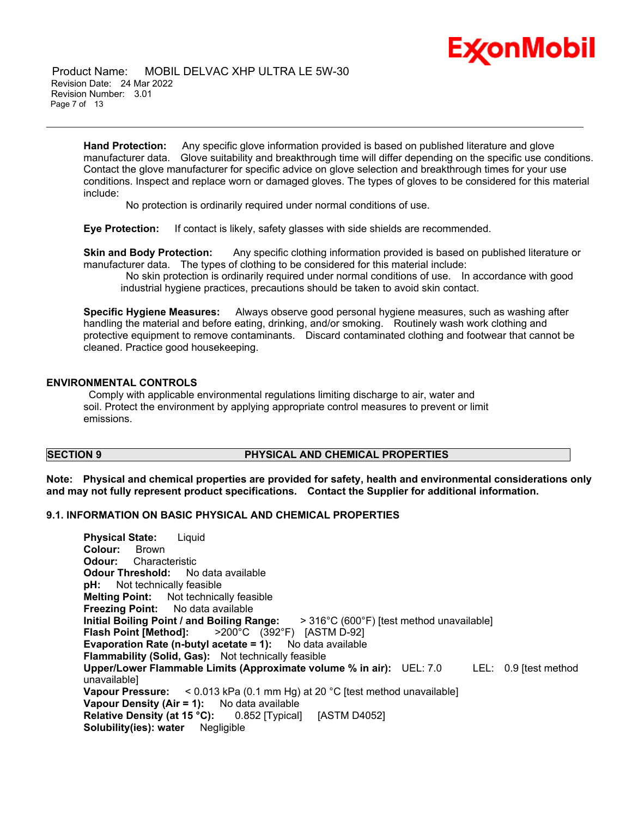# Ex⁄onMobil

 Product Name: MOBIL DELVAC XHP ULTRA LE 5W-30 Revision Date: 24 Mar 2022 Revision Number: 3.01 Page 7 of 13

> **Hand Protection:** Any specific glove information provided is based on published literature and glove manufacturer data. Glove suitability and breakthrough time will differ depending on the specific use conditions. Contact the glove manufacturer for specific advice on glove selection and breakthrough times for your use conditions. Inspect and replace worn or damaged gloves. The types of gloves to be considered for this material include:

\_\_\_\_\_\_\_\_\_\_\_\_\_\_\_\_\_\_\_\_\_\_\_\_\_\_\_\_\_\_\_\_\_\_\_\_\_\_\_\_\_\_\_\_\_\_\_\_\_\_\_\_\_\_\_\_\_\_\_\_\_\_\_\_\_\_\_\_\_\_\_\_\_\_\_\_\_\_\_\_\_\_\_\_\_\_\_\_\_\_\_\_\_\_\_\_\_\_\_\_\_\_\_\_\_\_\_\_\_\_\_\_\_\_\_\_\_

No protection is ordinarily required under normal conditions of use.

**Eye Protection:** If contact is likely, safety glasses with side shields are recommended.

**Skin and Body Protection:** Any specific clothing information provided is based on published literature or manufacturer data. The types of clothing to be considered for this material include:

No skin protection is ordinarily required under normal conditions of use. In accordance with good industrial hygiene practices, precautions should be taken to avoid skin contact.

**Specific Hygiene Measures:** Always observe good personal hygiene measures, such as washing after handling the material and before eating, drinking, and/or smoking. Routinely wash work clothing and protective equipment to remove contaminants. Discard contaminated clothing and footwear that cannot be cleaned. Practice good housekeeping.

### **ENVIRONMENTAL CONTROLS**

Comply with applicable environmental regulations limiting discharge to air, water and soil. Protect the environment by applying appropriate control measures to prevent or limit emissions.

## **SECTION 9 PHYSICAL AND CHEMICAL PROPERTIES**

**Note: Physical and chemical properties are provided for safety, health and environmental considerations only and may not fully represent product specifications. Contact the Supplier for additional information.**

#### **9.1. INFORMATION ON BASIC PHYSICAL AND CHEMICAL PROPERTIES**

**Physical State:** Liquid **Colour:** Brown **Odour:** Characteristic **Odour Threshold:** No data available **pH:** Not technically feasible **Melting Point:** Not technically feasible **Freezing Point:** No data available **Initial Boiling Point / and Boiling Range:** > 316°C (600°F) [test method unavailable] **Flash Point [Method]:** >200°C (392°F) [ASTM D-92] **Evaporation Rate (n-butyl acetate = 1):** No data available **Flammability (Solid, Gas):** Not technically feasible **Upper/Lower Flammable Limits (Approximate volume % in air):** UEL: 7.0 LEL: 0.9 [test method unavailable] **Vapour Pressure:** < 0.013 kPa (0.1 mm Hg) at 20 °C [test method unavailable] **Vapour Density (Air = 1):** No data available **Relative Density (at 15 °C):** 0.852 [Typical] [ASTM D4052] **Solubility(ies): water** Negligible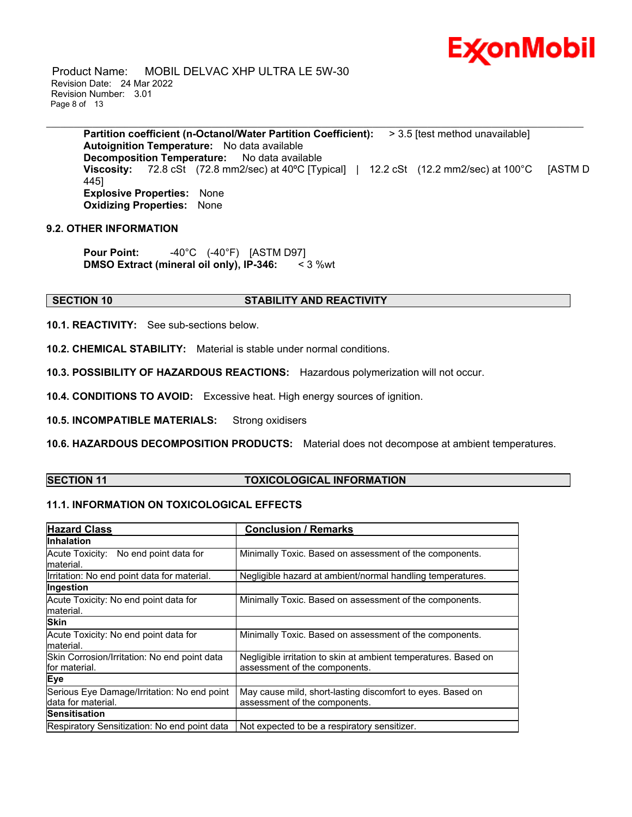

 Product Name: MOBIL DELVAC XHP ULTRA LE 5W-30 Revision Date: 24 Mar 2022 Revision Number: 3.01 Page 8 of 13

**Partition coefficient (n-Octanol/Water Partition Coefficient):** > 3.5 [test method unavailable] **Autoignition Temperature:** No data available **Decomposition Temperature:** No data available **Viscosity:** 72.8 cSt (72.8 mm2/sec) at 40ºC [Typical] | 12.2 cSt (12.2 mm2/sec) at 100°C [ASTM D 445] **Explosive Properties:** None **Oxidizing Properties:** None

\_\_\_\_\_\_\_\_\_\_\_\_\_\_\_\_\_\_\_\_\_\_\_\_\_\_\_\_\_\_\_\_\_\_\_\_\_\_\_\_\_\_\_\_\_\_\_\_\_\_\_\_\_\_\_\_\_\_\_\_\_\_\_\_\_\_\_\_\_\_\_\_\_\_\_\_\_\_\_\_\_\_\_\_\_\_\_\_\_\_\_\_\_\_\_\_\_\_\_\_\_\_\_\_\_\_\_\_\_\_\_\_\_\_\_\_\_

## **9.2. OTHER INFORMATION**

**Pour Point:** -40°C (-40°F) [ASTM D97] **DMSO Extract (mineral oil only), IP-346:** < 3 %wt

#### **SECTION 10 STABILITY AND REACTIVITY**

**10.1. REACTIVITY:** See sub-sections below.

**10.2. CHEMICAL STABILITY:** Material is stable under normal conditions.

**10.3. POSSIBILITY OF HAZARDOUS REACTIONS:** Hazardous polymerization will not occur.

**10.4. CONDITIONS TO AVOID:** Excessive heat. High energy sources of ignition.

**10.5. INCOMPATIBLE MATERIALS:** Strong oxidisers

**10.6. HAZARDOUS DECOMPOSITION PRODUCTS:** Material does not decompose at ambient temperatures.

#### **SECTION 11 TOXICOLOGICAL INFORMATION**

## **11.1. INFORMATION ON TOXICOLOGICAL EFFECTS**

| <b>Hazard Class</b>                                                | <b>Conclusion / Remarks</b>                                                                      |
|--------------------------------------------------------------------|--------------------------------------------------------------------------------------------------|
| <b>Inhalation</b>                                                  |                                                                                                  |
| Acute Toxicity: No end point data for<br>material.                 | Minimally Toxic. Based on assessment of the components.                                          |
| Irritation: No end point data for material.                        | Negligible hazard at ambient/normal handling temperatures.                                       |
| Ingestion                                                          |                                                                                                  |
| Acute Toxicity: No end point data for<br>material.                 | Minimally Toxic. Based on assessment of the components.                                          |
| <b>Skin</b>                                                        |                                                                                                  |
| Acute Toxicity: No end point data for<br>material.                 | Minimally Toxic. Based on assessment of the components.                                          |
| Skin Corrosion/Irritation: No end point data<br>lfor material.     | Negligible irritation to skin at ambient temperatures. Based on<br>assessment of the components. |
| <b>Eye</b>                                                         |                                                                                                  |
| Serious Eye Damage/Irritation: No end point<br>ldata for material. | May cause mild, short-lasting discomfort to eyes. Based on<br>assessment of the components.      |
| <b>Sensitisation</b>                                               |                                                                                                  |
| Respiratory Sensitization: No end point data                       | Not expected to be a respiratory sensitizer.                                                     |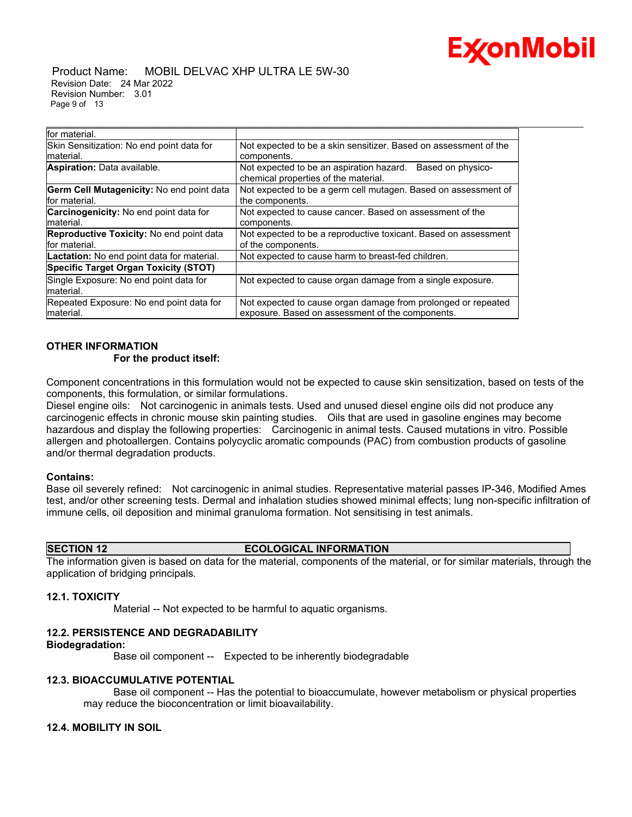

 Product Name: MOBIL DELVAC XHP ULTRA LE 5W-30 Revision Date: 24 Mar 2022 Revision Number: 3.01 Page 9 of 13

| for material.                                   |                                                                                                       |
|-------------------------------------------------|-------------------------------------------------------------------------------------------------------|
| Skin Sensitization: No end point data for       | Not expected to be a skin sensitizer. Based on assessment of the                                      |
| material.                                       | components.                                                                                           |
| <b>Aspiration:</b> Data available.              | Not expected to be an aspiration hazard.<br>Based on physico-<br>chemical properties of the material. |
| Germ Cell Mutagenicity: No end point data       | Not expected to be a germ cell mutagen. Based on assessment of                                        |
| for material.                                   | the components.                                                                                       |
| <b>Carcinogenicity:</b> No end point data for   | Not expected to cause cancer. Based on assessment of the                                              |
| material.                                       | components.                                                                                           |
| <b>Reproductive Toxicity: No end point data</b> | Not expected to be a reproductive toxicant. Based on assessment                                       |
| for material.                                   | of the components.                                                                                    |
| Lactation: No end point data for material.      | Not expected to cause harm to breast-fed children.                                                    |
| <b>Specific Target Organ Toxicity (STOT)</b>    |                                                                                                       |
| Single Exposure: No end point data for          | Not expected to cause organ damage from a single exposure.                                            |
| material.                                       |                                                                                                       |
| Repeated Exposure: No end point data for        | Not expected to cause organ damage from prolonged or repeated                                         |
| material.                                       | exposure. Based on assessment of the components.                                                      |

\_\_\_\_\_\_\_\_\_\_\_\_\_\_\_\_\_\_\_\_\_\_\_\_\_\_\_\_\_\_\_\_\_\_\_\_\_\_\_\_\_\_\_\_\_\_\_\_\_\_\_\_\_\_\_\_\_\_\_\_\_\_\_\_\_\_\_\_\_\_\_\_\_\_\_\_\_\_\_\_\_\_\_\_\_\_\_\_\_\_\_\_\_\_\_\_\_\_\_\_\_\_\_\_\_\_\_\_\_\_\_\_\_\_\_\_\_

### **OTHER INFORMATION**

#### **For the product itself:**

Component concentrations in this formulation would not be expected to cause skin sensitization, based on tests of the components, this formulation, or similar formulations.

Diesel engine oils: Not carcinogenic in animals tests. Used and unused diesel engine oils did not produce any carcinogenic effects in chronic mouse skin painting studies. Oils that are used in gasoline engines may become hazardous and display the following properties: Carcinogenic in animal tests. Caused mutations in vitro. Possible allergen and photoallergen. Contains polycyclic aromatic compounds (PAC) from combustion products of gasoline and/or thermal degradation products.

#### **Contains:**

Base oil severely refined: Not carcinogenic in animal studies. Representative material passes IP-346, Modified Ames test, and/or other screening tests. Dermal and inhalation studies showed minimal effects; lung non-specific infiltration of immune cells, oil deposition and minimal granuloma formation. Not sensitising in test animals.

#### **SECTION 12 ECOLOGICAL INFORMATION**

The information given is based on data for the material, components of the material, or for similar materials, through the application of bridging principals.

#### **12.1. TOXICITY**

Material -- Not expected to be harmful to aquatic organisms.

## **12.2. PERSISTENCE AND DEGRADABILITY**

#### **Biodegradation:**

Base oil component -- Expected to be inherently biodegradable

#### **12.3. BIOACCUMULATIVE POTENTIAL**

 Base oil component -- Has the potential to bioaccumulate, however metabolism or physical properties may reduce the bioconcentration or limit bioavailability.

#### **12.4. MOBILITY IN SOIL**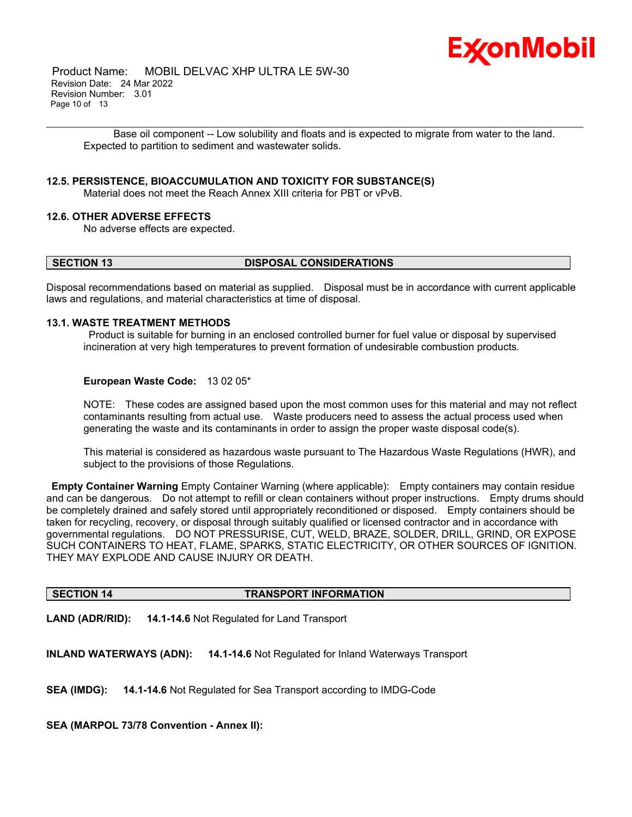

 Product Name: MOBIL DELVAC XHP ULTRA LE 5W-30 Revision Date: 24 Mar 2022 Revision Number: 3.01 Page 10 of 13

\_\_\_\_\_\_\_\_\_\_\_\_\_\_\_\_\_\_\_\_\_\_\_\_\_\_\_\_\_\_\_\_\_\_\_\_\_\_\_\_\_\_\_\_\_\_\_\_\_\_\_\_\_\_\_\_\_\_\_\_\_\_\_\_\_\_\_\_\_\_\_\_\_\_\_\_\_\_\_\_\_\_\_\_\_\_\_\_\_\_\_\_\_\_\_\_\_\_\_\_\_\_\_\_\_\_\_\_\_\_\_\_\_\_\_\_\_ Base oil component -- Low solubility and floats and is expected to migrate from water to the land. Expected to partition to sediment and wastewater solids.

#### **12.5. PERSISTENCE, BIOACCUMULATION AND TOXICITY FOR SUBSTANCE(S)**

Material does not meet the Reach Annex XIII criteria for PBT or vPvB.

### **12.6. OTHER ADVERSE EFFECTS**

No adverse effects are expected.

#### **SECTION 13 DISPOSAL CONSIDERATIONS**

Disposal recommendations based on material as supplied. Disposal must be in accordance with current applicable laws and regulations, and material characteristics at time of disposal.

#### **13.1. WASTE TREATMENT METHODS**

Product is suitable for burning in an enclosed controlled burner for fuel value or disposal by supervised incineration at very high temperatures to prevent formation of undesirable combustion products.

#### **European Waste Code:** 13 02 05\*

NOTE: These codes are assigned based upon the most common uses for this material and may not reflect contaminants resulting from actual use. Waste producers need to assess the actual process used when generating the waste and its contaminants in order to assign the proper waste disposal code(s).

This material is considered as hazardous waste pursuant to The Hazardous Waste Regulations (HWR), and subject to the provisions of those Regulations.

**Empty Container Warning** Empty Container Warning (where applicable): Empty containers may contain residue and can be dangerous. Do not attempt to refill or clean containers without proper instructions. Empty drums should be completely drained and safely stored until appropriately reconditioned or disposed. Empty containers should be taken for recycling, recovery, or disposal through suitably qualified or licensed contractor and in accordance with governmental regulations. DO NOT PRESSURISE, CUT, WELD, BRAZE, SOLDER, DRILL, GRIND, OR EXPOSE SUCH CONTAINERS TO HEAT, FLAME, SPARKS, STATIC ELECTRICITY, OR OTHER SOURCES OF IGNITION. THEY MAY EXPLODE AND CAUSE INJURY OR DEATH.

#### **SECTION 14 TRANSPORT INFORMATION**

**LAND (ADR/RID): 14.1-14.6** Not Regulated for Land Transport

**INLAND WATERWAYS (ADN): 14.1-14.6** Not Regulated for Inland Waterways Transport

**SEA (IMDG): 14.1-14.6** Not Regulated for Sea Transport according to IMDG-Code

**SEA (MARPOL 73/78 Convention - Annex II):**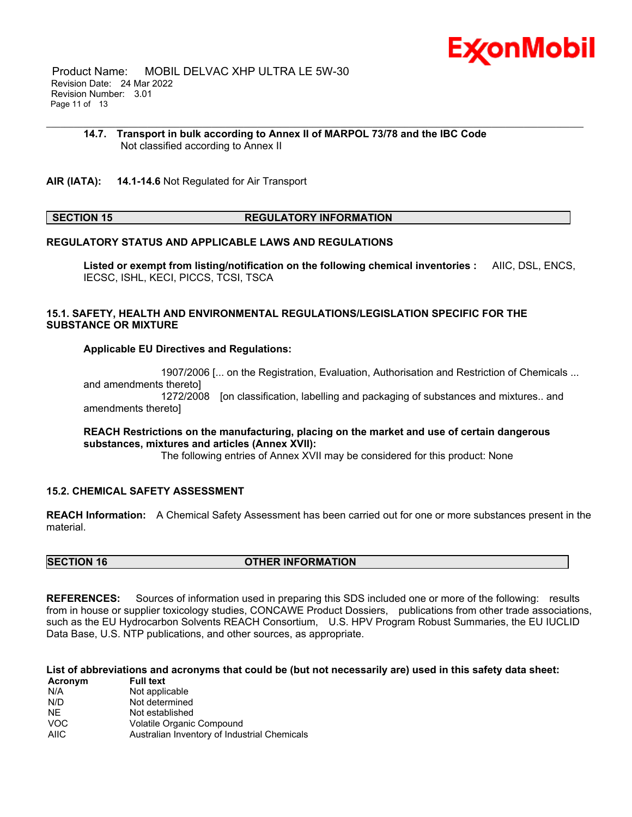

 Product Name: MOBIL DELVAC XHP ULTRA LE 5W-30 Revision Date: 24 Mar 2022 Revision Number: 3.01 Page 11 of 13

#### **14.7. Transport in bulk according to Annex II of MARPOL 73/78 and the IBC Code** Not classified according to Annex II

\_\_\_\_\_\_\_\_\_\_\_\_\_\_\_\_\_\_\_\_\_\_\_\_\_\_\_\_\_\_\_\_\_\_\_\_\_\_\_\_\_\_\_\_\_\_\_\_\_\_\_\_\_\_\_\_\_\_\_\_\_\_\_\_\_\_\_\_\_\_\_\_\_\_\_\_\_\_\_\_\_\_\_\_\_\_\_\_\_\_\_\_\_\_\_\_\_\_\_\_\_\_\_\_\_\_\_\_\_\_\_\_\_\_\_\_\_

**AIR (IATA): 14.1-14.6** Not Regulated for Air Transport

#### **SECTION 15 REGULATORY INFORMATION**

#### **REGULATORY STATUS AND APPLICABLE LAWS AND REGULATIONS**

**Listed or exempt from listing/notification on the following chemical inventories :** AIIC, DSL, ENCS, IECSC, ISHL, KECI, PICCS, TCSI, TSCA

#### **15.1. SAFETY, HEALTH AND ENVIRONMENTAL REGULATIONS/LEGISLATION SPECIFIC FOR THE SUBSTANCE OR MIXTURE**

#### **Applicable EU Directives and Regulations:**

 1907/2006 [... on the Registration, Evaluation, Authorisation and Restriction of Chemicals ... and amendments thereto] 1272/2008 [on classification, labelling and packaging of substances and mixtures.. and amendments thereto]

#### **REACH Restrictions on the manufacturing, placing on the market and use of certain dangerous substances, mixtures and articles (Annex XVII):**

The following entries of Annex XVII may be considered for this product: None

#### **15.2. CHEMICAL SAFETY ASSESSMENT**

**REACH Information:** A Chemical Safety Assessment has been carried out for one or more substances present in the material.

## **SECTION 16 OTHER INFORMATION**

**REFERENCES:** Sources of information used in preparing this SDS included one or more of the following: results from in house or supplier toxicology studies, CONCAWE Product Dossiers, publications from other trade associations, such as the EU Hydrocarbon Solvents REACH Consortium, U.S. HPV Program Robust Summaries, the EU IUCLID Data Base, U.S. NTP publications, and other sources, as appropriate.

#### List of abbreviations and acronyms that could be (but not necessarily are) used in this safety data sheet:

| Acronym     | <b>Full text</b>                             |
|-------------|----------------------------------------------|
| N/A         | Not applicable                               |
| N/D         | Not determined                               |
| NF.         | Not established                              |
| <b>VOC</b>  | Volatile Organic Compound                    |
| <b>AIIC</b> | Australian Inventory of Industrial Chemicals |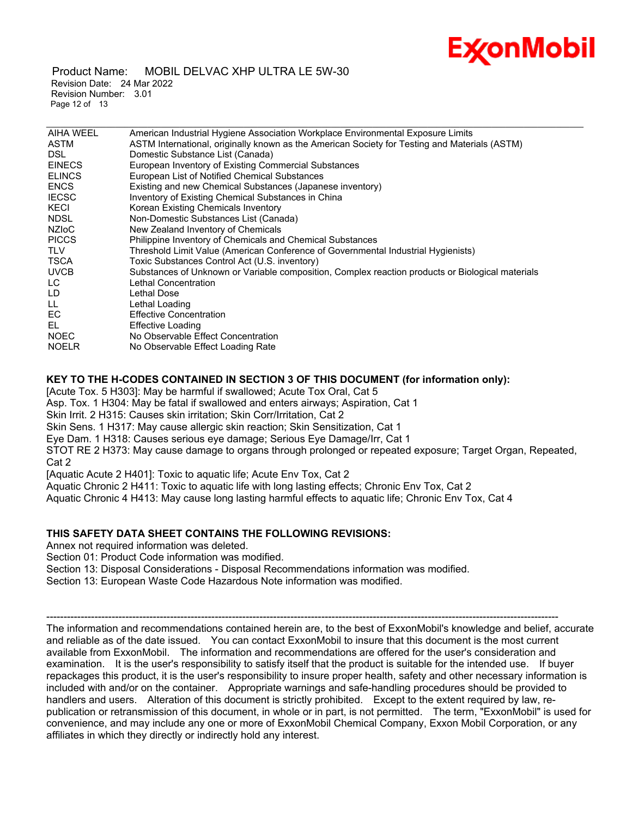

 Product Name: MOBIL DELVAC XHP ULTRA LE 5W-30 Revision Date: 24 Mar 2022 Revision Number: 3.01 Page 12 of 13

| <b>AIHA WEEL</b>   | American Industrial Hygiene Association Workplace Environmental Exposure Limits                  |
|--------------------|--------------------------------------------------------------------------------------------------|
| ASTM               | ASTM International, originally known as the American Society for Testing and Materials (ASTM)    |
| DSL.               | Domestic Substance List (Canada)                                                                 |
| <b>EINECS</b>      | European Inventory of Existing Commercial Substances                                             |
| <b>ELINCS</b>      | European List of Notified Chemical Substances                                                    |
| <b>ENCS</b>        | Existing and new Chemical Substances (Japanese inventory)                                        |
| <b>IECSC</b>       | Inventory of Existing Chemical Substances in China                                               |
| KECI               | Korean Existing Chemicals Inventory                                                              |
| <b>NDSL</b>        | Non-Domestic Substances List (Canada)                                                            |
| NZI <sub>o</sub> C | New Zealand Inventory of Chemicals                                                               |
| <b>PICCS</b>       | Philippine Inventory of Chemicals and Chemical Substances                                        |
| <b>TLV</b>         | Threshold Limit Value (American Conference of Governmental Industrial Hygienists)                |
| <b>TSCA</b>        | Toxic Substances Control Act (U.S. inventory)                                                    |
| <b>UVCB</b>        | Substances of Unknown or Variable composition, Complex reaction products or Biological materials |
| LC                 | Lethal Concentration                                                                             |
| LD                 | Lethal Dose                                                                                      |
| LL.                | Lethal Loading                                                                                   |
| EC                 | <b>Effective Concentration</b>                                                                   |
| EL.                | Effective Loading                                                                                |
| <b>NOEC</b>        | No Observable Effect Concentration                                                               |
| <b>NOELR</b>       | No Observable Effect Loading Rate                                                                |
|                    |                                                                                                  |

\_\_\_\_\_\_\_\_\_\_\_\_\_\_\_\_\_\_\_\_\_\_\_\_\_\_\_\_\_\_\_\_\_\_\_\_\_\_\_\_\_\_\_\_\_\_\_\_\_\_\_\_\_\_\_\_\_\_\_\_\_\_\_\_\_\_\_\_\_\_\_\_\_\_\_\_\_\_\_\_\_\_\_\_\_\_\_\_\_\_\_\_\_\_\_\_\_\_\_\_\_\_\_\_\_\_\_\_\_\_\_\_\_\_\_\_\_

#### **KEY TO THE H-CODES CONTAINED IN SECTION 3 OF THIS DOCUMENT (for information only):**

[Acute Tox. 5 H303]: May be harmful if swallowed; Acute Tox Oral, Cat 5

Asp. Tox. 1 H304: May be fatal if swallowed and enters airways; Aspiration, Cat 1

Skin Irrit. 2 H315: Causes skin irritation; Skin Corr/Irritation, Cat 2

Skin Sens. 1 H317: May cause allergic skin reaction; Skin Sensitization, Cat 1

Eye Dam. 1 H318: Causes serious eye damage; Serious Eye Damage/Irr, Cat 1

STOT RE 2 H373: May cause damage to organs through prolonged or repeated exposure; Target Organ, Repeated, Cat 2

[Aquatic Acute 2 H401]: Toxic to aquatic life; Acute Env Tox, Cat 2

Aquatic Chronic 2 H411: Toxic to aquatic life with long lasting effects; Chronic Env Tox, Cat 2

Aquatic Chronic 4 H413: May cause long lasting harmful effects to aquatic life; Chronic Env Tox, Cat 4

## **THIS SAFETY DATA SHEET CONTAINS THE FOLLOWING REVISIONS:**

Annex not required information was deleted.

Section 01: Product Code information was modified.

Section 13: Disposal Considerations - Disposal Recommendations information was modified.

Section 13: European Waste Code Hazardous Note information was modified.

----------------------------------------------------------------------------------------------------------------------------------------------------- The information and recommendations contained herein are, to the best of ExxonMobil's knowledge and belief, accurate and reliable as of the date issued. You can contact ExxonMobil to insure that this document is the most current available from ExxonMobil. The information and recommendations are offered for the user's consideration and examination. It is the user's responsibility to satisfy itself that the product is suitable for the intended use. If buyer repackages this product, it is the user's responsibility to insure proper health, safety and other necessary information is included with and/or on the container. Appropriate warnings and safe-handling procedures should be provided to handlers and users. Alteration of this document is strictly prohibited. Except to the extent required by law, republication or retransmission of this document, in whole or in part, is not permitted. The term, "ExxonMobil" is used for convenience, and may include any one or more of ExxonMobil Chemical Company, Exxon Mobil Corporation, or any affiliates in which they directly or indirectly hold any interest.